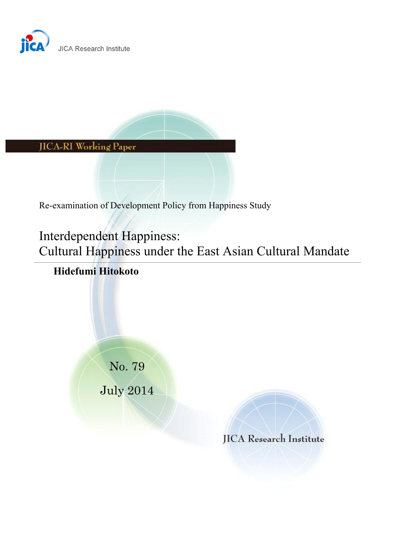



Re-examination of Development Policy from Happiness Study

Interdependent Happiness: Cultural Happiness under the East Asian Cultural Mandate

# **Hidefumi Hitokoto**

No. 79

July 2014

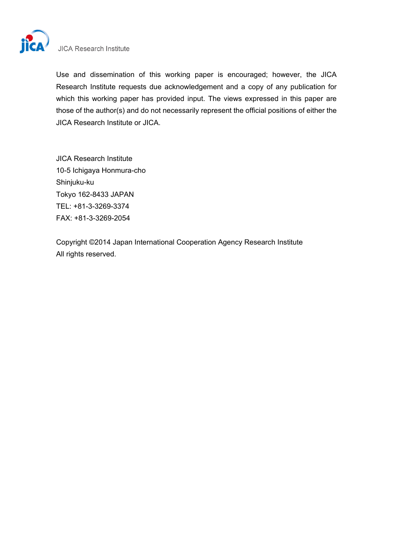

## **JICA Research Institute**

Use and dissemination of this working paper is encouraged; however, the JICA Research Institute requests due acknowledgement and a copy of any publication for which this working paper has provided input. The views expressed in this paper are those of the author(s) and do not necessarily represent the official positions of either the JICA Research Institute or JICA.

JICA Research Institute 10-5 Ichigaya Honmura-cho Shinjuku-ku Tokyo 162-8433 JAPAN TEL: +81-3-3269-3374 FAX: +81-3-3269-2054

Copyright ©2014 Japan International Cooperation Agency Research Institute All rights reserved.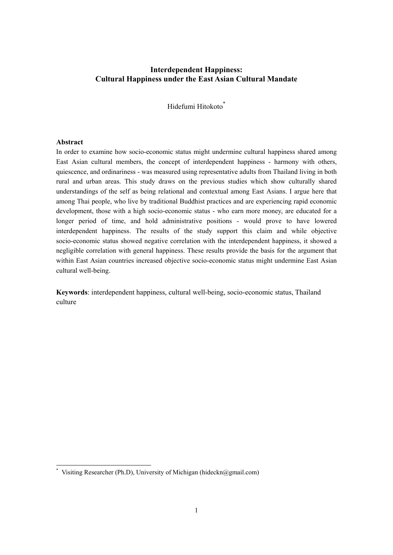## **Interdependent Happiness: Cultural Happiness under the East Asian Cultural Mandate**

Hidefumi Hitokoto<sup>\*</sup>

#### **Abstract**

-

In order to examine how socio-economic status might undermine cultural happiness shared among East Asian cultural members, the concept of interdependent happiness - harmony with others, quiescence, and ordinariness - was measured using representative adults from Thailand living in both rural and urban areas. This study draws on the previous studies which show culturally shared understandings of the self as being relational and contextual among East Asians. I argue here that among Thai people, who live by traditional Buddhist practices and are experiencing rapid economic development, those with a high socio-economic status - who earn more money, are educated for a longer period of time, and hold administrative positions - would prove to have lowered interdependent happiness. The results of the study support this claim and while objective socio-economic status showed negative correlation with the interdependent happiness, it showed a negligible correlation with general happiness. These results provide the basis for the argument that within East Asian countries increased objective socio-economic status might undermine East Asian cultural well-being.

**Keywords**: interdependent happiness, cultural well-being, socio-economic status, Thailand culture

<sup>\*</sup> Visiting Researcher (Ph.D), University of Michigan (hideckn@gmail.com)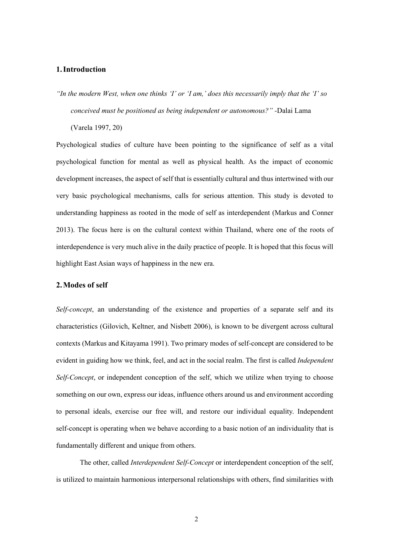## **1.Introduction**

*"In the modern West, when one thinks 'I' or 'I am,' does this necessarily imply that the 'I' so conceived must be positioned as being independent or autonomous?" -*Dalai Lama

(Varela 1997, 20)

Psychological studies of culture have been pointing to the significance of self as a vital psychological function for mental as well as physical health. As the impact of economic development increases, the aspect of self that is essentially cultural and thus intertwined with our very basic psychological mechanisms, calls for serious attention. This study is devoted to understanding happiness as rooted in the mode of self as interdependent (Markus and Conner 2013). The focus here is on the cultural context within Thailand, where one of the roots of interdependence is very much alive in the daily practice of people. It is hoped that this focus will highlight East Asian ways of happiness in the new era.

#### **2.Modes of self**

*Self-concept*, an understanding of the existence and properties of a separate self and its characteristics (Gilovich, Keltner, and Nisbett 2006), is known to be divergent across cultural contexts (Markus and Kitayama 1991). Two primary modes of self-concept are considered to be evident in guiding how we think, feel, and act in the social realm. The first is called *Independent Self-Concept*, or independent conception of the self, which we utilize when trying to choose something on our own, express our ideas, influence others around us and environment according to personal ideals, exercise our free will, and restore our individual equality. Independent self-concept is operating when we behave according to a basic notion of an individuality that is fundamentally different and unique from others.

The other, called *Interdependent Self-Concept* or interdependent conception of the self, is utilized to maintain harmonious interpersonal relationships with others, find similarities with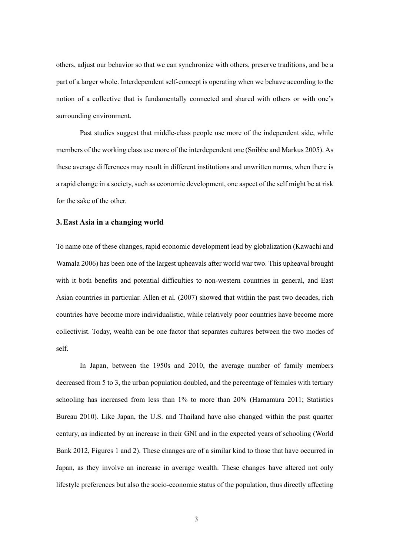others, adjust our behavior so that we can synchronize with others, preserve traditions, and be a part of a larger whole. Interdependent self-concept is operating when we behave according to the notion of a collective that is fundamentally connected and shared with others or with one's surrounding environment.

Past studies suggest that middle-class people use more of the independent side, while members of the working class use more of the interdependent one (Snibbe and Markus 2005). As these average differences may result in different institutions and unwritten norms, when there is a rapid change in a society, such as economic development, one aspect of the self might be at risk for the sake of the other.

#### **3.East Asia in a changing world**

To name one of these changes, rapid economic development lead by globalization (Kawachi and Wamala 2006) has been one of the largest upheavals after world war two. This upheaval brought with it both benefits and potential difficulties to non-western countries in general, and East Asian countries in particular. Allen et al. (2007) showed that within the past two decades, rich countries have become more individualistic, while relatively poor countries have become more collectivist. Today, wealth can be one factor that separates cultures between the two modes of self.

In Japan, between the 1950s and 2010, the average number of family members decreased from 5 to 3, the urban population doubled, and the percentage of females with tertiary schooling has increased from less than 1% to more than 20% (Hamamura 2011; Statistics Bureau 2010). Like Japan, the U.S. and Thailand have also changed within the past quarter century, as indicated by an increase in their GNI and in the expected years of schooling (World Bank 2012, Figures 1 and 2). These changes are of a similar kind to those that have occurred in Japan, as they involve an increase in average wealth. These changes have altered not only lifestyle preferences but also the socio-economic status of the population, thus directly affecting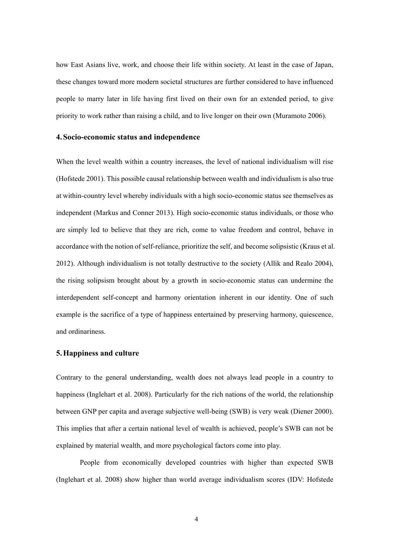how East Asians live, work, and choose their life within society. At least in the case of Japan, these changes toward more modern societal structures are further considered to have influenced people to marry later in life having first lived on their own for an extended period, to give priority to work rather than raising a child, and to live longer on their own (Muramoto 2006).

#### **4.Socio-economic status and independence**

When the level wealth within a country increases, the level of national individualism will rise (Hofstede 2001). This possible causal relationship between wealth and individualism is also true at within-country level whereby individuals with a high socio-economic status see themselves as independent (Markus and Conner 2013). High socio-economic status individuals, or those who are simply led to believe that they are rich, come to value freedom and control, behave in accordance with the notion of self-reliance, prioritize the self, and become solipsistic (Kraus et al. 2012). Although individualism is not totally destructive to the society (Allik and Realo 2004), the rising solipsism brought about by a growth in socio-economic status can undermine the interdependent self-concept and harmony orientation inherent in our identity. One of such example is the sacrifice of a type of happiness entertained by preserving harmony, quiescence, and ordinariness.

#### **5.Happiness and culture**

Contrary to the general understanding, wealth does not always lead people in a country to happiness (Inglehart et al. 2008). Particularly for the rich nations of the world, the relationship between GNP per capita and average subjective well-being (SWB) is very weak (Diener 2000). This implies that after a certain national level of wealth is achieved, people's SWB can not be explained by material wealth, and more psychological factors come into play.

People from economically developed countries with higher than expected SWB (Inglehart et al. 2008) show higher than world average individualism scores (IDV: Hofstede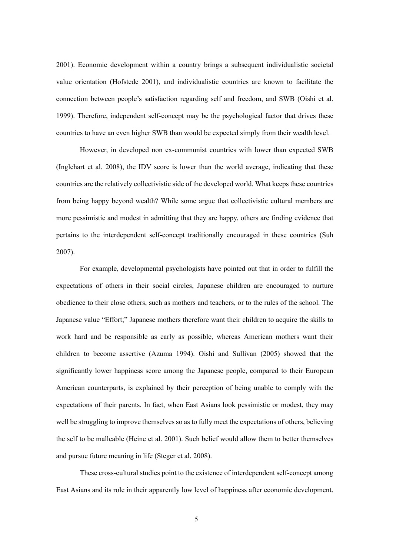2001). Economic development within a country brings a subsequent individualistic societal value orientation (Hofstede 2001), and individualistic countries are known to facilitate the connection between people's satisfaction regarding self and freedom, and SWB (Oishi et al. 1999). Therefore, independent self-concept may be the psychological factor that drives these countries to have an even higher SWB than would be expected simply from their wealth level.

However, in developed non ex-communist countries with lower than expected SWB (Inglehart et al. 2008), the IDV score is lower than the world average, indicating that these countries are the relatively collectivistic side of the developed world. What keeps these countries from being happy beyond wealth? While some argue that collectivistic cultural members are more pessimistic and modest in admitting that they are happy, others are finding evidence that pertains to the interdependent self-concept traditionally encouraged in these countries (Suh 2007).

For example, developmental psychologists have pointed out that in order to fulfill the expectations of others in their social circles, Japanese children are encouraged to nurture obedience to their close others, such as mothers and teachers, or to the rules of the school. The Japanese value "Effort;" Japanese mothers therefore want their children to acquire the skills to work hard and be responsible as early as possible, whereas American mothers want their children to become assertive (Azuma 1994). Oishi and Sullivan (2005) showed that the significantly lower happiness score among the Japanese people, compared to their European American counterparts, is explained by their perception of being unable to comply with the expectations of their parents. In fact, when East Asians look pessimistic or modest, they may well be struggling to improve themselves so as to fully meet the expectations of others, believing the self to be malleable (Heine et al. 2001). Such belief would allow them to better themselves and pursue future meaning in life (Steger et al. 2008).

These cross-cultural studies point to the existence of interdependent self-concept among East Asians and its role in their apparently low level of happiness after economic development.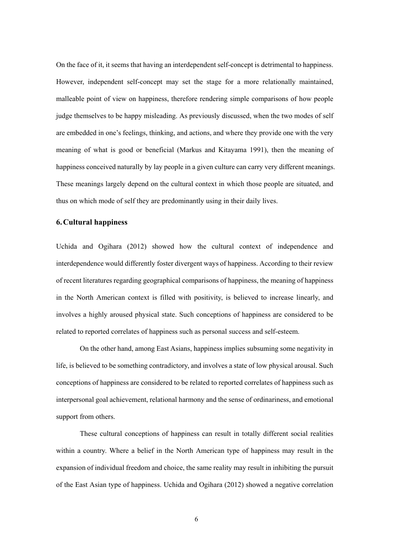On the face of it, it seems that having an interdependent self-concept is detrimental to happiness. However, independent self-concept may set the stage for a more relationally maintained, malleable point of view on happiness, therefore rendering simple comparisons of how people judge themselves to be happy misleading. As previously discussed, when the two modes of self are embedded in one's feelings, thinking, and actions, and where they provide one with the very meaning of what is good or beneficial (Markus and Kitayama 1991), then the meaning of happiness conceived naturally by lay people in a given culture can carry very different meanings. These meanings largely depend on the cultural context in which those people are situated, and thus on which mode of self they are predominantly using in their daily lives.

### **6.Cultural happiness**

Uchida and Ogihara (2012) showed how the cultural context of independence and interdependence would differently foster divergent ways of happiness. According to their review of recent literatures regarding geographical comparisons of happiness, the meaning of happiness in the North American context is filled with positivity, is believed to increase linearly, and involves a highly aroused physical state. Such conceptions of happiness are considered to be related to reported correlates of happiness such as personal success and self-esteem.

On the other hand, among East Asians, happiness implies subsuming some negativity in life, is believed to be something contradictory, and involves a state of low physical arousal. Such conceptions of happiness are considered to be related to reported correlates of happiness such as interpersonal goal achievement, relational harmony and the sense of ordinariness, and emotional support from others.

These cultural conceptions of happiness can result in totally different social realities within a country. Where a belief in the North American type of happiness may result in the expansion of individual freedom and choice, the same reality may result in inhibiting the pursuit of the East Asian type of happiness. Uchida and Ogihara (2012) showed a negative correlation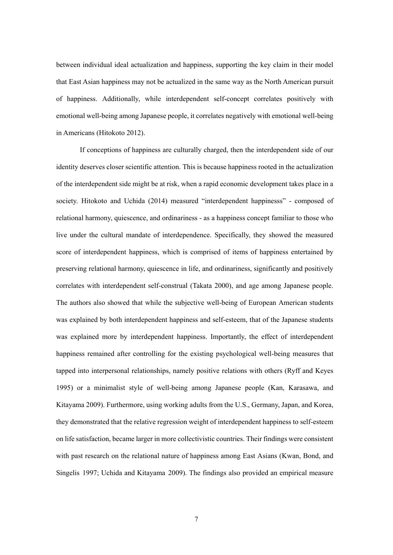between individual ideal actualization and happiness, supporting the key claim in their model that East Asian happiness may not be actualized in the same way as the North American pursuit of happiness. Additionally, while interdependent self-concept correlates positively with emotional well-being among Japanese people, it correlates negatively with emotional well-being in Americans (Hitokoto 2012).

If conceptions of happiness are culturally charged, then the interdependent side of our identity deserves closer scientific attention. This is because happiness rooted in the actualization of the interdependent side might be at risk, when a rapid economic development takes place in a society. Hitokoto and Uchida (2014) measured "interdependent happinesss" - composed of relational harmony, quiescence, and ordinariness - as a happiness concept familiar to those who live under the cultural mandate of interdependence. Specifically, they showed the measured score of interdependent happiness, which is comprised of items of happiness entertained by preserving relational harmony, quiescence in life, and ordinariness, significantly and positively correlates with interdependent self-construal (Takata 2000), and age among Japanese people. The authors also showed that while the subjective well-being of European American students was explained by both interdependent happiness and self-esteem, that of the Japanese students was explained more by interdependent happiness. Importantly, the effect of interdependent happiness remained after controlling for the existing psychological well-being measures that tapped into interpersonal relationships, namely positive relations with others (Ryff and Keyes 1995) or a minimalist style of well-being among Japanese people (Kan, Karasawa, and Kitayama 2009). Furthermore, using working adults from the U.S., Germany, Japan, and Korea, they demonstrated that the relative regression weight of interdependent happiness to self-esteem on life satisfaction, became larger in more collectivistic countries. Their findings were consistent with past research on the relational nature of happiness among East Asians (Kwan, Bond, and Singelis 1997; Uchida and Kitayama 2009). The findings also provided an empirical measure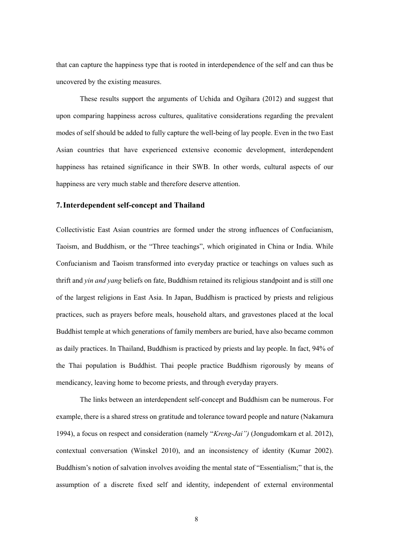that can capture the happiness type that is rooted in interdependence of the self and can thus be uncovered by the existing measures.

These results support the arguments of Uchida and Ogihara (2012) and suggest that upon comparing happiness across cultures, qualitative considerations regarding the prevalent modes of self should be added to fully capture the well-being of lay people. Even in the two East Asian countries that have experienced extensive economic development, interdependent happiness has retained significance in their SWB. In other words, cultural aspects of our happiness are very much stable and therefore deserve attention.

#### **7.Interdependent self-concept and Thailand**

Collectivistic East Asian countries are formed under the strong influences of Confucianism, Taoism, and Buddhism, or the "Three teachings", which originated in China or India. While Confucianism and Taoism transformed into everyday practice or teachings on values such as thrift and *yin and yang* beliefs on fate, Buddhism retained its religious standpoint and is still one of the largest religions in East Asia. In Japan, Buddhism is practiced by priests and religious practices, such as prayers before meals, household altars, and gravestones placed at the local Buddhist temple at which generations of family members are buried, have also became common as daily practices. In Thailand, Buddhism is practiced by priests and lay people. In fact, 94% of the Thai population is Buddhist. Thai people practice Buddhism rigorously by means of mendicancy, leaving home to become priests, and through everyday prayers.

The links between an interdependent self-concept and Buddhism can be numerous. For example, there is a shared stress on gratitude and tolerance toward people and nature (Nakamura 1994), a focus on respect and consideration (namely "*Kreng-Jai")* (Jongudomkarn et al. 2012), contextual conversation (Winskel 2010), and an inconsistency of identity (Kumar 2002). Buddhism's notion of salvation involves avoiding the mental state of "Essentialism;" that is, the assumption of a discrete fixed self and identity, independent of external environmental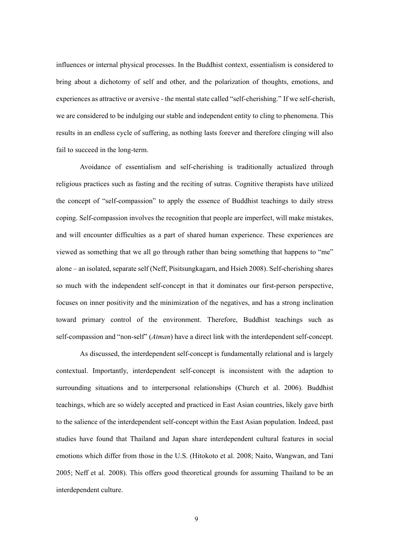influences or internal physical processes. In the Buddhist context, essentialism is considered to bring about a dichotomy of self and other, and the polarization of thoughts, emotions, and experiences as attractive or aversive - the mental state called "self-cherishing." If we self-cherish, we are considered to be indulging our stable and independent entity to cling to phenomena. This results in an endless cycle of suffering, as nothing lasts forever and therefore clinging will also fail to succeed in the long-term.

Avoidance of essentialism and self-cherishing is traditionally actualized through religious practices such as fasting and the reciting of sutras. Cognitive therapists have utilized the concept of "self-compassion" to apply the essence of Buddhist teachings to daily stress coping. Self-compassion involves the recognition that people are imperfect, will make mistakes, and will encounter difficulties as a part of shared human experience. These experiences are viewed as something that we all go through rather than being something that happens to "me" alone – an isolated, separate self (Neff, Pisitsungkagarn, and Hsieh 2008). Self-cherishing shares so much with the independent self-concept in that it dominates our first-person perspective, focuses on inner positivity and the minimization of the negatives, and has a strong inclination toward primary control of the environment. Therefore, Buddhist teachings such as self-compassion and "non-self" (*Atman*) have a direct link with the interdependent self-concept.

As discussed, the interdependent self-concept is fundamentally relational and is largely contextual. Importantly, interdependent self-concept is inconsistent with the adaption to surrounding situations and to interpersonal relationships (Church et al. 2006). Buddhist teachings, which are so widely accepted and practiced in East Asian countries, likely gave birth to the salience of the interdependent self-concept within the East Asian population. Indeed, past studies have found that Thailand and Japan share interdependent cultural features in social emotions which differ from those in the U.S. (Hitokoto et al. 2008; Naito, Wangwan, and Tani 2005; Neff et al. 2008). This offers good theoretical grounds for assuming Thailand to be an interdependent culture.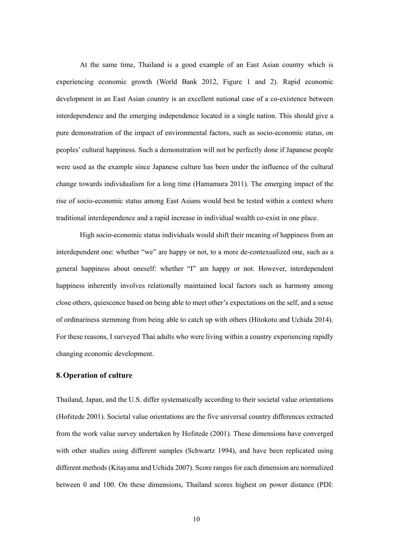At the same time, Thailand is a good example of an East Asian country which is experiencing economic growth (World Bank 2012, Figure 1 and 2). Rapid economic development in an East Asian country is an excellent national case of a co-existence between interdependence and the emerging independence located in a single nation. This should give a pure demonstration of the impact of environmental factors, such as socio-economic status, on peoples' cultural happiness. Such a demonstration will not be perfectly done if Japanese people were used as the example since Japanese culture has been under the influence of the cultural change towards individualism for a long time (Hamamura 2011). The emerging impact of the rise of socio-economic status among East Asians would best be tested within a context where traditional interdependence and a rapid increase in individual wealth co-exist in one place.

High socio-economic status individuals would shift their meaning of happiness from an interdependent one: whether "we" are happy or not, to a more de-contexualized one, such as a general happiness about oneself: whether "I" am happy or not. However, interdependent happiness inherently involves relationally maintained local factors such as harmony among close others, quiescence based on being able to meet other's expectations on the self, and a sense of ordinariness stemming from being able to catch up with others (Hitokoto and Uchida 2014). For these reasons, I surveyed Thai adults who were living within a country experiencing rapidly changing economic development.

#### **8.Operation of culture**

Thailand, Japan, and the U.S. differ systematically according to their societal value orientations (Hofstede 2001). Societal value orientations are the five universal country differences extracted from the work value survey undertaken by Hofstede (2001). These dimensions have converged with other studies using different samples (Schwartz 1994), and have been replicated using different methods (Kitayama and Uchida 2007). Score ranges for each dimension are normalized between 0 and 100. On these dimensions, Thailand scores highest on power distance (PDI: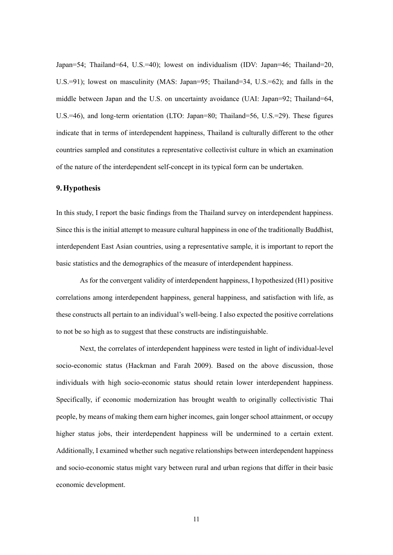Japan=54; Thailand=64, U.S.=40); lowest on individualism (IDV: Japan=46; Thailand=20, U.S.=91); lowest on masculinity (MAS: Japan=95; Thailand=34, U.S.=62); and falls in the middle between Japan and the U.S. on uncertainty avoidance (UAI: Japan=92; Thailand=64, U.S.=46), and long-term orientation (LTO: Japan=80; Thailand=56, U.S.=29). These figures indicate that in terms of interdependent happiness, Thailand is culturally different to the other countries sampled and constitutes a representative collectivist culture in which an examination of the nature of the interdependent self-concept in its typical form can be undertaken.

#### **9.Hypothesis**

In this study, I report the basic findings from the Thailand survey on interdependent happiness. Since this is the initial attempt to measure cultural happiness in one of the traditionally Buddhist, interdependent East Asian countries, using a representative sample, it is important to report the basic statistics and the demographics of the measure of interdependent happiness.

As for the convergent validity of interdependent happiness, I hypothesized (H1) positive correlations among interdependent happiness, general happiness, and satisfaction with life, as these constructs all pertain to an individual's well-being. I also expected the positive correlations to not be so high as to suggest that these constructs are indistinguishable.

Next, the correlates of interdependent happiness were tested in light of individual-level socio-economic status (Hackman and Farah 2009). Based on the above discussion, those individuals with high socio-economic status should retain lower interdependent happiness. Specifically, if economic modernization has brought wealth to originally collectivistic Thai people, by means of making them earn higher incomes, gain longer school attainment, or occupy higher status jobs, their interdependent happiness will be undermined to a certain extent. Additionally, I examined whether such negative relationships between interdependent happiness and socio-economic status might vary between rural and urban regions that differ in their basic economic development.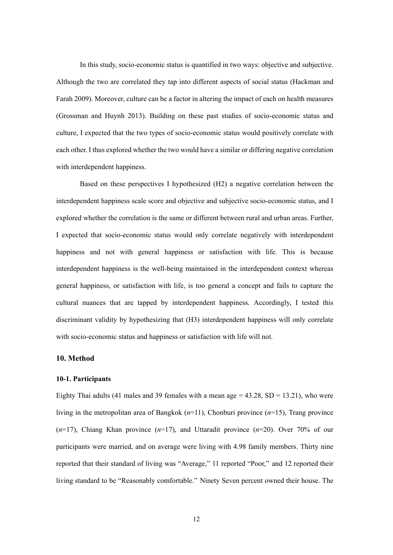In this study, socio-economic status is quantified in two ways: objective and subjective. Although the two are correlated they tap into different aspects of social status (Hackman and Farah 2009). Moreover, culture can be a factor in altering the impact of each on health measures (Grossman and Huynh 2013). Building on these past studies of socio-economic status and culture, I expected that the two types of socio-economic status would positively correlate with each other. I thus explored whether the two would have a similar or differing negative correlation with interdependent happiness.

Based on these perspectives I hypothesized (H2) a negative correlation between the interdependent happiness scale score and objective and subjective socio-economic status, and I explored whether the correlation is the same or different between rural and urban areas. Further, I expected that socio-economic status would only correlate negatively with interdependent happiness and not with general happiness or satisfaction with life. This is because interdependent happiness is the well-being maintained in the interdependent context whereas general happiness, or satisfaction with life, is too general a concept and fails to capture the cultural nuances that are tapped by interdependent happiness. Accordingly, I tested this discriminant validity by hypothesizing that (H3) interdependent happiness will only correlate with socio-economic status and happiness or satisfaction with life will not.

#### **10. Method**

#### **10-1. Participants**

Eighty Thai adults (41 males and 39 females with a mean age  $=$  43.28, SD  $=$  13.21), who were living in the metropolitan area of Bangkok (*n*=11), Chonburi province (*n*=15), Trang province (*n*=17), Chiang Khan province (*n*=17), and Uttaradit province (*n*=20). Over 70% of our participants were married, and on average were living with 4.98 family members. Thirty nine reported that their standard of living was "Average," 11 reported "Poor," and 12 reported their living standard to be "Reasonably comfortable." Ninety Seven percent owned their house. The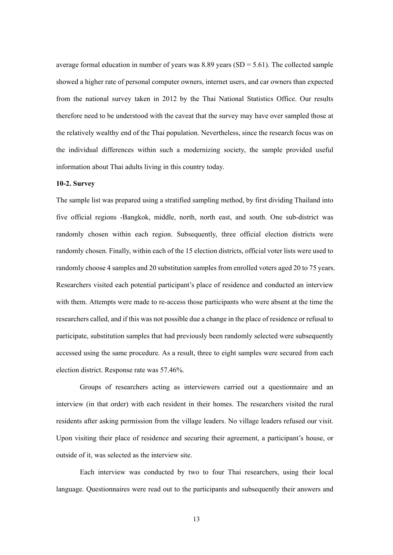average formal education in number of years was 8.89 years ( $SD = 5.61$ ). The collected sample showed a higher rate of personal computer owners, internet users, and car owners than expected from the national survey taken in 2012 by the Thai National Statistics Office. Our results therefore need to be understood with the caveat that the survey may have over sampled those at the relatively wealthy end of the Thai population. Nevertheless, since the research focus was on the individual differences within such a modernizing society, the sample provided useful information about Thai adults living in this country today.

#### **10-2. Survey**

The sample list was prepared using a stratified sampling method, by first dividing Thailand into five official regions -Bangkok, middle, north, north east, and south. One sub-district was randomly chosen within each region. Subsequently, three official election districts were randomly chosen. Finally, within each of the 15 election districts, official voter lists were used to randomly choose 4 samples and 20 substitution samples from enrolled voters aged 20 to 75 years. Researchers visited each potential participant's place of residence and conducted an interview with them. Attempts were made to re-access those participants who were absent at the time the researchers called, and if this was not possible due a change in the place of residence or refusal to participate, substitution samples that had previously been randomly selected were subsequently accessed using the same procedure. As a result, three to eight samples were secured from each election district. Response rate was 57.46%.

Groups of researchers acting as interviewers carried out a questionnaire and an interview (in that order) with each resident in their homes. The researchers visited the rural residents after asking permission from the village leaders. No village leaders refused our visit. Upon visiting their place of residence and securing their agreement, a participant's house, or outside of it, was selected as the interview site.

Each interview was conducted by two to four Thai researchers, using their local language. Questionnaires were read out to the participants and subsequently their answers and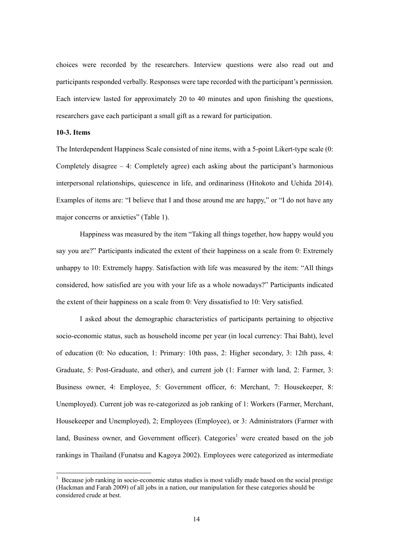choices were recorded by the researchers. Interview questions were also read out and participants responded verbally. Responses were tape recorded with the participant's permission. Each interview lasted for approximately 20 to 40 minutes and upon finishing the questions, researchers gave each participant a small gift as a reward for participation.

#### **10-3. Items**

-

The Interdependent Happiness Scale consisted of nine items, with a 5-point Likert-type scale (0: Completely disagree – 4: Completely agree) each asking about the participant's harmonious interpersonal relationships, quiescence in life, and ordinariness (Hitokoto and Uchida 2014). Examples of items are: "I believe that I and those around me are happy," or "I do not have any major concerns or anxieties" (Table 1).

Happiness was measured by the item "Taking all things together, how happy would you say you are?" Participants indicated the extent of their happiness on a scale from 0: Extremely unhappy to 10: Extremely happy. Satisfaction with life was measured by the item: "All things considered, how satisfied are you with your life as a whole nowadays?" Participants indicated the extent of their happiness on a scale from 0: Very dissatisfied to 10: Very satisfied.

I asked about the demographic characteristics of participants pertaining to objective socio-economic status, such as household income per year (in local currency: Thai Baht), level of education (0: No education, 1: Primary: 10th pass, 2: Higher secondary, 3: 12th pass, 4: Graduate, 5: Post-Graduate, and other), and current job (1: Farmer with land, 2: Farmer, 3: Business owner, 4: Employee, 5: Government officer, 6: Merchant, 7: Housekeeper, 8: Unemployed). Current job was re-categorized as job ranking of 1: Workers (Farmer, Merchant, Housekeeper and Unemployed), 2; Employees (Employee), or 3: Administrators (Farmer with land, Business owner, and Government officer). Categories<sup>1</sup> were created based on the job rankings in Thailand (Funatsu and Kagoya 2002). Employees were categorized as intermediate

<sup>&</sup>lt;sup>1</sup> Because job ranking in socio-economic status studies is most validly made based on the social prestige (Hackman and Farah 2009) of all jobs in a nation, our manipulation for these categories should be considered crude at best.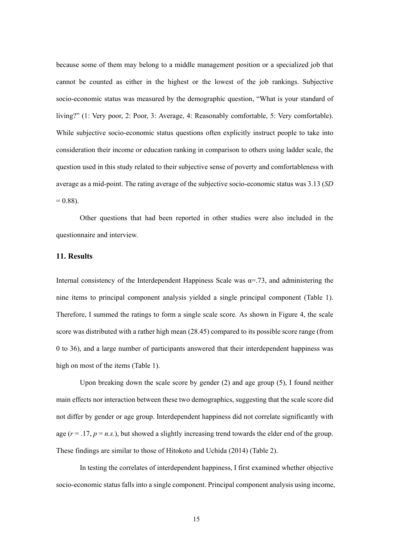because some of them may belong to a middle management position or a specialized job that cannot be counted as either in the highest or the lowest of the job rankings. Subjective socio-economic status was measured by the demographic question, "What is your standard of living?" (1: Very poor, 2: Poor, 3: Average, 4: Reasonably comfortable, 5: Very comfortable). While subjective socio-economic status questions often explicitly instruct people to take into consideration their income or education ranking in comparison to others using ladder scale, the question used in this study related to their subjective sense of poverty and comfortableness with average as a mid-point. The rating average of the subjective socio-economic status was 3.13 (*SD*  $= 0.88$ ).

Other questions that had been reported in other studies were also included in the questionnaire and interview.

## **11. Results**

Internal consistency of the Interdependent Happiness Scale was  $\alpha = 73$ , and administering the nine items to principal component analysis yielded a single principal component (Table 1). Therefore, I summed the ratings to form a single scale score. As shown in Figure 4, the scale score was distributed with a rather high mean (28.45) compared to its possible score range (from 0 to 36), and a large number of participants answered that their interdependent happiness was high on most of the items (Table 1).

Upon breaking down the scale score by gender (2) and age group (5), I found neither main effects nor interaction between these two demographics, suggesting that the scale score did not differ by gender or age group. Interdependent happiness did not correlate significantly with age  $(r = .17, p = n.s.)$ , but showed a slightly increasing trend towards the elder end of the group. These findings are similar to those of Hitokoto and Uchida (2014) (Table 2).

In testing the correlates of interdependent happiness, I first examined whether objective socio-economic status falls into a single component. Principal component analysis using income,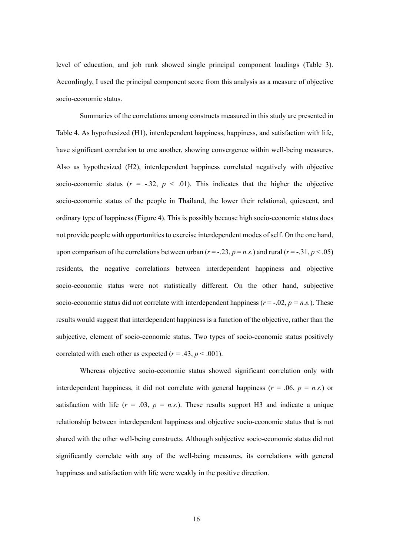level of education, and job rank showed single principal component loadings (Table 3). Accordingly, I used the principal component score from this analysis as a measure of objective socio-economic status.

Summaries of the correlations among constructs measured in this study are presented in Table 4. As hypothesized (H1), interdependent happiness, happiness, and satisfaction with life, have significant correlation to one another, showing convergence within well-being measures. Also as hypothesized (H2), interdependent happiness correlated negatively with objective socio-economic status  $(r = -.32, p < .01)$ . This indicates that the higher the objective socio-economic status of the people in Thailand, the lower their relational, quiescent, and ordinary type of happiness (Figure 4). This is possibly because high socio-economic status does not provide people with opportunities to exercise interdependent modes of self. On the one hand, upon comparison of the correlations between urban  $(r = -.23, p = n.s.)$  and rural  $(r = -.31, p < .05)$ residents, the negative correlations between interdependent happiness and objective socio-economic status were not statistically different. On the other hand, subjective socio-economic status did not correlate with interdependent happiness ( $r = -0.02$ ,  $p = n.s.$ ). These results would suggest that interdependent happiness is a function of the objective, rather than the subjective, element of socio-economic status. Two types of socio-economic status positively correlated with each other as expected  $(r = .43, p < .001)$ .

Whereas objective socio-economic status showed significant correlation only with interdependent happiness, it did not correlate with general happiness ( $r = .06$ ,  $p = n.s$ .) or satisfaction with life  $(r = .03, p = n.s.)$ . These results support H3 and indicate a unique relationship between interdependent happiness and objective socio-economic status that is not shared with the other well-being constructs. Although subjective socio-economic status did not significantly correlate with any of the well-being measures, its correlations with general happiness and satisfaction with life were weakly in the positive direction.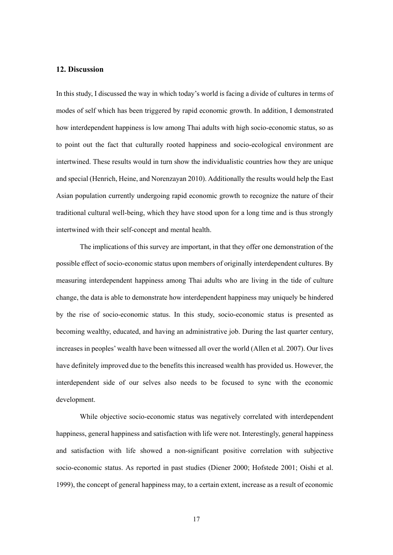## **12. Discussion**

In this study, I discussed the way in which today's world is facing a divide of cultures in terms of modes of self which has been triggered by rapid economic growth. In addition, I demonstrated how interdependent happiness is low among Thai adults with high socio-economic status, so as to point out the fact that culturally rooted happiness and socio-ecological environment are intertwined. These results would in turn show the individualistic countries how they are unique and special (Henrich, Heine, and Norenzayan 2010). Additionally the results would help the East Asian population currently undergoing rapid economic growth to recognize the nature of their traditional cultural well-being, which they have stood upon for a long time and is thus strongly intertwined with their self-concept and mental health.

The implications of this survey are important, in that they offer one demonstration of the possible effect of socio-economic status upon members of originally interdependent cultures. By measuring interdependent happiness among Thai adults who are living in the tide of culture change, the data is able to demonstrate how interdependent happiness may uniquely be hindered by the rise of socio-economic status. In this study, socio-economic status is presented as becoming wealthy, educated, and having an administrative job. During the last quarter century, increases in peoples' wealth have been witnessed all over the world (Allen et al. 2007). Our lives have definitely improved due to the benefits this increased wealth has provided us. However, the interdependent side of our selves also needs to be focused to sync with the economic development.

While objective socio-economic status was negatively correlated with interdependent happiness, general happiness and satisfaction with life were not. Interestingly, general happiness and satisfaction with life showed a non-significant positive correlation with subjective socio-economic status. As reported in past studies (Diener 2000; Hofstede 2001; Oishi et al. 1999), the concept of general happiness may, to a certain extent, increase as a result of economic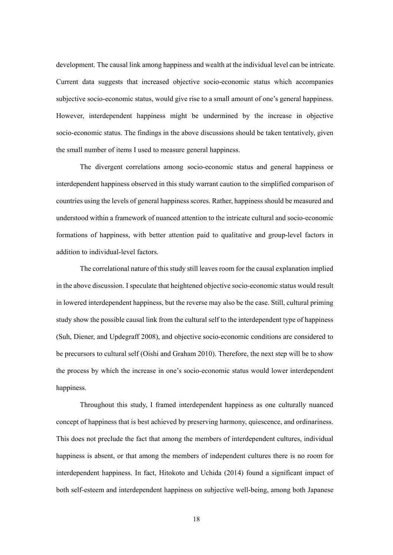development. The causal link among happiness and wealth at the individual level can be intricate. Current data suggests that increased objective socio-economic status which accompanies subjective socio-economic status, would give rise to a small amount of one's general happiness. However, interdependent happiness might be undermined by the increase in objective socio-economic status. The findings in the above discussions should be taken tentatively, given the small number of items I used to measure general happiness.

The divergent correlations among socio-economic status and general happiness or interdependent happiness observed in this study warrant caution to the simplified comparison of countries using the levels of general happiness scores. Rather, happiness should be measured and understood within a framework of nuanced attention to the intricate cultural and socio-economic formations of happiness, with better attention paid to qualitative and group-level factors in addition to individual-level factors.

The correlational nature of this study still leaves room for the causal explanation implied in the above discussion. I speculate that heightened objective socio-economic status would result in lowered interdependent happiness, but the reverse may also be the case. Still, cultural priming study show the possible causal link from the cultural self to the interdependent type of happiness (Suh, Diener, and Updegraff 2008), and objective socio-economic conditions are considered to be precursors to cultural self (Oishi and Graham 2010). Therefore, the next step will be to show the process by which the increase in one's socio-economic status would lower interdependent happiness.

Throughout this study, I framed interdependent happiness as one culturally nuanced concept of happiness that is best achieved by preserving harmony, quiescence, and ordinariness. This does not preclude the fact that among the members of interdependent cultures, individual happiness is absent, or that among the members of independent cultures there is no room for interdependent happiness. In fact, Hitokoto and Uchida (2014) found a significant impact of both self-esteem and interdependent happiness on subjective well-being, among both Japanese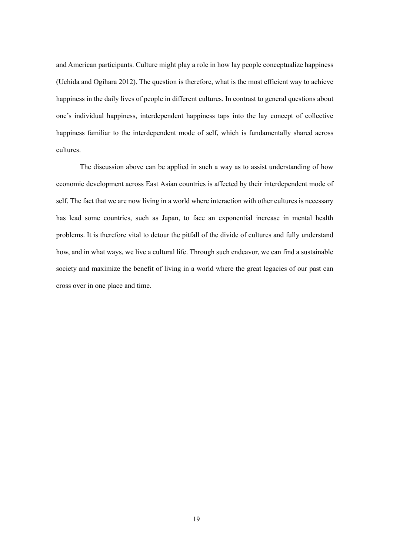and American participants. Culture might play a role in how lay people conceptualize happiness (Uchida and Ogihara 2012). The question is therefore, what is the most efficient way to achieve happiness in the daily lives of people in different cultures. In contrast to general questions about one's individual happiness, interdependent happiness taps into the lay concept of collective happiness familiar to the interdependent mode of self, which is fundamentally shared across cultures.

The discussion above can be applied in such a way as to assist understanding of how economic development across East Asian countries is affected by their interdependent mode of self. The fact that we are now living in a world where interaction with other cultures is necessary has lead some countries, such as Japan, to face an exponential increase in mental health problems. It is therefore vital to detour the pitfall of the divide of cultures and fully understand how, and in what ways, we live a cultural life. Through such endeavor, we can find a sustainable society and maximize the benefit of living in a world where the great legacies of our past can cross over in one place and time.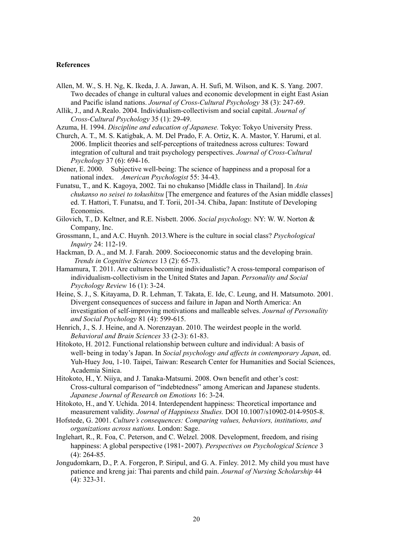#### **References**

- Allen, M. W., S. H. Ng, K. Ikeda, J. A. Jawan, A. H. Sufi, M. Wilson, and K. S. Yang. 2007. Two decades of change in cultural values and economic development in eight East Asian and Pacific island nations. *Journal of Cross-Cultural Psychology* 38 (3): 247-69.
- Allik, J., and A.Realo. 2004. Individualism-collectivism and social capital. *Journal of Cross-Cultural Psychology* 35 (1): 29-49.
- Azuma, H. 1994. *Discipline and education of Japanese.* Tokyo: Tokyo University Press.
- Church, A. T., M. S. Katigbak, A. M. Del Prado, F. A. Ortiz, K. A. Mastor, Y. Harumi, et al. 2006. Implicit theories and self-perceptions of traitedness across cultures: Toward integration of cultural and trait psychology perspectives. *Journal of Cross-Cultural Psychology* 37 (6): 694-16.
- Diener, E. 2000. Subjective well-being: The science of happiness and a proposal for a national index. *American Psychologist* 55: 34-43.
- Funatsu, T., and K. Kagoya, 2002. Tai no chukanso [Middle class in Thailand]. In *Asia chukanso no seisei to tokushitsu* [The emergence and features of the Asian middle classes] ed. T. Hattori, T. Funatsu, and T. Torii, 201-34. Chiba, Japan: Institute of Developing Economies.
- Gilovich, T., D. Keltner, and R.E. Nisbett. 2006. *Social psychology.* NY: W. W. Norton & Company, Inc.
- Grossmann, I., and A.C. Huynh. 2013.Where is the culture in social class? *Psychological Inquiry* 24: 112-19.
- Hackman, D. A., and M. J. Farah. 2009. Socioeconomic status and the developing brain. *Trends in Cognitive Sciences* 13 (2): 65-73.
- Hamamura, T. 2011. Are cultures becoming individualistic? A cross-temporal comparison of individualism-collectivism in the United States and Japan. *Personality and Social Psychology Review* 16 (1): 3-24.
- Heine, S. J., S. Kitayama, D. R. Lehman, T. Takata, E. Ide, C. Leung, and H. Matsumoto. 2001. Divergent consequences of success and failure in Japan and North America: An investigation of self-improving motivations and malleable selves. *Journal of Personality and Social Psychology* 81 (4): 599-615.
- Henrich, J., S. J. Heine, and A. Norenzayan. 2010. The weirdest people in the world. *Behavioral and Brain Sciences* 33 (2-3): 61-83.
- Hitokoto, H. 2012. Functional relationship between culture and individual: A basis of well-being in today's Japan. In *Social psychology and affects in contemporary Japan*, ed. Yuh-Huey Jou, 1-10. Taipei, Taiwan: Research Center for Humanities and Social Sciences, Academia Sinica.
- Hitokoto, H., Y. Niiya, and J. Tanaka-Matsumi. 2008. Own benefit and other's cost: Cross-cultural comparison of "indebtedness" among American and Japanese students. *Japanese Journal of Research on Emotions* 16: 3-24.
- Hitokoto, H., and Y. Uchida. 2014. Interdependent happiness: Theoretical importance and measurement validity. *Journal of Happiness Studies.* DOI 10.1007/s10902-014-9505-8.
- Hofstede, G. 2001. *Culture's consequences: Comparing values, behaviors, institutions, and organizations across nations.* London: Sage.
- Inglehart, R., R. Foa, C. Peterson, and C. Welzel. 2008. Development, freedom, and rising happiness: A global perspective (1981-2007). *Perspectives on Psychological Science* 3 (4): 264-85.
- Jongudomkarn, D., P. A. Forgeron, P. Siripul, and G. A. Finley. 2012. My child you must have patience and kreng jai: Thai parents and child pain. *Journal of Nursing Scholarship* 44 (4): 323-31.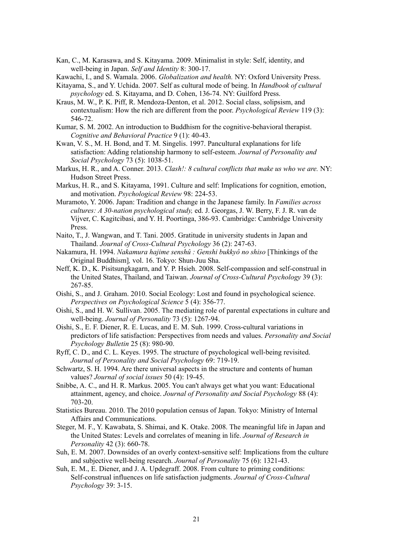Kan, C., M. Karasawa, and S. Kitayama. 2009. Minimalist in style: Self, identity, and well-being in Japan. *Self and Identity* 8: 300-17.

Kawachi, I., and S. Wamala. 2006. *Globalization and health.* NY: Oxford University Press.

Kitayama, S., and Y. Uchida. 2007. Self as cultural mode of being. In *Handbook of cultural psychology* ed. S. Kitayama, and D. Cohen, 136-74. NY: Guilford Press.

- Kraus, M. W., P. K. Piff, R. Mendoza-Denton, et al. 2012. Social class, solipsism, and contextualism: How the rich are different from the poor. *Psychological Review* 119 (3): 546-72.
- Kumar, S. M. 2002. An introduction to Buddhism for the cognitive-behavioral therapist. *Cognitive and Behavioral Practice* 9 (1): 40-43.
- Kwan, V. S., M. H. Bond, and T. M. Singelis. 1997. Pancultural explanations for life satisfaction: Adding relationship harmony to self-esteem. *Journal of Personality and Social Psychology* 73 (5): 1038-51.
- Markus, H. R., and A. Conner. 2013. *Clash!: 8 cultural conflicts that make us who we are.* NY: Hudson Street Press.
- Markus, H. R., and S. Kitayama, 1991. Culture and self: Implications for cognition, emotion, and motivation. *Psychological Review* 98: 224-53.
- Muramoto, Y. 2006. Japan: Tradition and change in the Japanese family. In *Families across cultures: A 30-nation psychological study,* ed. J. Georgas, J. W. Berry, F. J. R. van de Vijver, C. Kagitcibasi, and Y. H. Poortinga, 386-93. Cambridge: Cambridge University Press.
- Naito, T., J. Wangwan, and T. Tani. 2005. Gratitude in university students in Japan and Thailand. *Journal of Cross-Cultural Psychology* 36 (2): 247-63.
- Nakamura, H. 1994. *Nakamura hajime senshû : Genshi bukkyô no shiso* [Thinkings of the Original Buddhism]*,* vol. 16. Tokyo: Shun-Juu Sha.
- Neff, K. D., K. Pisitsungkagarn, and Y. P. Hsieh. 2008. Self-compassion and self-construal in the United States, Thailand, and Taiwan. *Journal of Cross-Cultural Psychology* 39 (3): 267-85.
- Oishi, S., and J. Graham. 2010. Social Ecology: Lost and found in psychological science. *Perspectives on Psychological Science* 5 (4): 356-77.
- Oishi, S., and H. W. Sullivan. 2005. The mediating role of parental expectations in culture and well-being. *Journal of Personality* 73 (5): 1267-94.
- Oishi, S., E. F. Diener, R. E. Lucas, and E. M. Suh. 1999. Cross-cultural variations in predictors of life satisfaction: Perspectives from needs and values. *Personality and Social Psychology Bulletin* 25 (8): 980-90.
- Ryff, C. D., and C. L. Keyes. 1995. The structure of psychological well-being revisited. *Journal of Personality and Social Psychology* 69: 719-19.
- Schwartz, S. H. 1994. Are there universal aspects in the structure and contents of human values? *Journal of social issues* 50 (4): 19-45.
- Snibbe, A. C., and H. R. Markus. 2005. You can't always get what you want: Educational attainment, agency, and choice. *Journal of Personality and Social Psychology* 88 (4): 703-20.
- Statistics Bureau. 2010. The 2010 population census of Japan. Tokyo: Ministry of Internal Affairs and Communications.
- Steger, M. F., Y. Kawabata, S. Shimai, and K. Otake. 2008. The meaningful life in Japan and the United States: Levels and correlates of meaning in life. *Journal of Research in Personality* 42 (3): 660-78.
- Suh, E. M. 2007. Downsides of an overly context-sensitive self: Implications from the culture and subjective well-being research. *Journal of Personality* 75 (6): 1321-43.
- Suh, E. M., E. Diener, and J. A. Updegraff. 2008. From culture to priming conditions: Self-construal influences on life satisfaction judgments. *Journal of Cross-Cultural Psychology* 39: 3-15.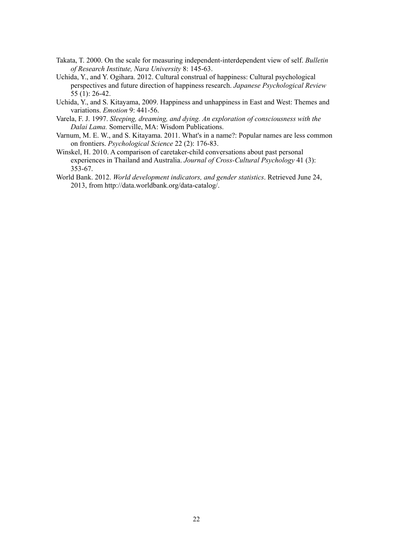- Takata, T. 2000. On the scale for measuring independent-interdependent view of self. *Bulletin of Research Institute, Nara University* 8: 145-63.
- Uchida, Y., and Y. Ogihara. 2012. Cultural construal of happiness: Cultural psychological perspectives and future direction of happiness research. *Japanese Psychological Review*  55 (1): 26-42.
- Uchida, Y., and S. Kitayama, 2009. Happiness and unhappiness in East and West: Themes and variations. *Emotion* 9: 441-56.
- Varela, F. J. 1997. *Sleeping, dreaming, and dying. An exploration of consciousness with the Dalai Lama.* Somerville, MA: Wisdom Publications.
- Varnum, M. E. W., and S. Kitayama. 2011. What's in a name?: Popular names are less common on frontiers. *Psychological Science* 22 (2): 176-83.
- Winskel, H. 2010. A comparison of caretaker-child conversations about past personal experiences in Thailand and Australia. *Journal of Cross-Cultural Psychology* 41 (3): 353-67.
- World Bank. 2012. *World development indicators, and gender statistics*. Retrieved June 24, 2013, from http://data.worldbank.org/data-catalog/.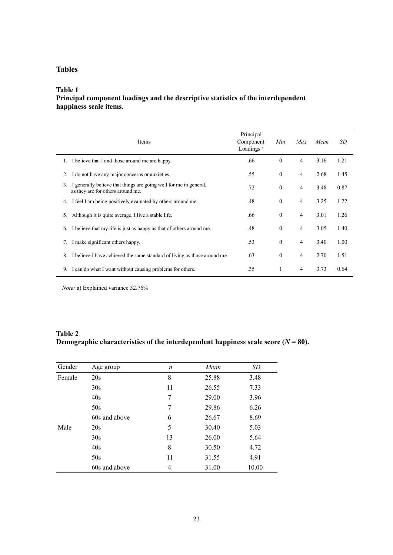## **Tables**

#### **Table 1**

## **Principal component loadings and the descriptive statistics of the interdependent happiness scale items.**

| Items                                                                                                        | Principal<br>Component<br>Loadings <sup>a</sup> | Min              | Max            | Mean | SD   |
|--------------------------------------------------------------------------------------------------------------|-------------------------------------------------|------------------|----------------|------|------|
| I believe that I and those around me are happy.<br>1.                                                        | .66                                             | $\theta$         | $\overline{4}$ | 3.16 | 1.21 |
| I do not have any major concerns or anxieties.<br>2.                                                         | .55                                             | $\mathbf{0}$     | 4              | 2.68 | 1.45 |
| I generally believe that things are going well for me in general,<br>3.<br>as they are for others around me. | .72                                             | $\mathbf{0}$     | 4              | 3.48 | 0.87 |
| I feel I am being positively evaluated by others around me.<br>4.                                            | .48                                             | $\boldsymbol{0}$ | 4              | 3.25 | 1.22 |
| Although it is quite average, I live a stable life.<br>5.                                                    | .66                                             | $\mathbf{0}$     | 4              | 3.01 | 1.26 |
| I believe that my life is just as happy as that of others around me.<br>6.                                   | .48                                             | $\mathbf{0}$     | 4              | 3.05 | 1.40 |
| I make significant others happy.<br>7.                                                                       | .53                                             | $\boldsymbol{0}$ | 4              | 3.40 | 1.00 |
| I believe I have achieved the same standard of living as those around me.<br>8.                              | .63                                             | $\boldsymbol{0}$ | 4              | 2.70 | 1.51 |
| I can do what I want without causing problems for others.<br>9.                                              | .35                                             | 1                | 4              | 3.73 | 0.64 |

*Note:* a) Explained variance 32.76%

## **Table 2 Demographic characteristics of the interdependent happiness scale score (** $N = 80$ **).**

| Gender | Age group     | $\boldsymbol{n}$ | Mean  | SD    |
|--------|---------------|------------------|-------|-------|
| Female | 20s           | 8                | 25.88 | 3.48  |
|        | 30s           | 11               | 26.55 | 7.33  |
|        | 40s           | 7                | 29.00 | 3.96  |
|        | 50s           | 7                | 29.86 | 6.26  |
|        | 60s and above | 6                | 26.67 | 8.69  |
| Male   | 20s           | 5                | 30.40 | 5.03  |
|        | 30s           | 13               | 26.00 | 5.64  |
|        | 40s           | 8                | 30.50 | 4.72  |
|        | 50s           | 11               | 31.55 | 4.91  |
|        | 60s and above | 4                | 31.00 | 10.00 |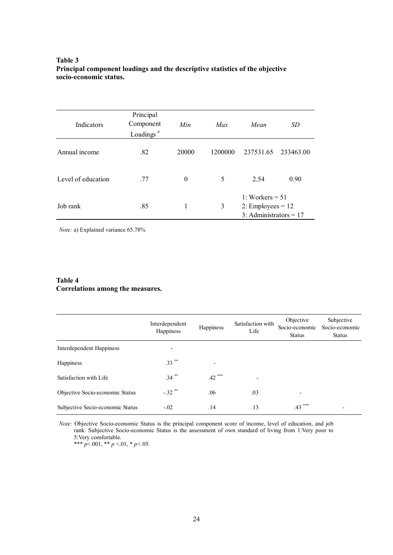### **Table 3 Principal component loadings and the descriptive statistics of the objective socio-economic status.**

| Indicators         | Principal<br>Component<br>Loadings <sup>a</sup> | Min      | Max     | Mean                                                                 | <i>SD</i> |  |
|--------------------|-------------------------------------------------|----------|---------|----------------------------------------------------------------------|-----------|--|
| Annual income      | .82                                             | 20000    | 1200000 | 237531.65                                                            | 233463.00 |  |
| Level of education | .77                                             | $\theta$ | 5       | 2.54                                                                 | 0.90      |  |
| Job rank           | .85                                             | 1        | 3       | 1: Workers $= 51$<br>2: Employees = $12$<br>3: Administrators = $17$ |           |  |

*Note:* a) Explained variance 65.78%

## **Table 4 Correlations among the measures.**

|                                  | Interdependent<br>Happiness | Happiness                | Satisfaction with<br>Life | Objective<br>Socio-economic<br><b>Status</b> | Subjective<br>Socio-economic<br><b>Status</b> |
|----------------------------------|-----------------------------|--------------------------|---------------------------|----------------------------------------------|-----------------------------------------------|
| Interdependent Happiness         | $\overline{\phantom{0}}$    |                          |                           |                                              |                                               |
| Happiness                        | $.33***$                    | $\overline{\phantom{0}}$ |                           |                                              |                                               |
| Satisfaction with Life           | $.34***$                    | $.42***$                 | $\overline{\phantom{a}}$  |                                              |                                               |
| Objective Socio-economic Status  | $-.32$ **                   | .06                      | .03                       |                                              |                                               |
| Subjective Socio-economic Status | $-.02$                      | .14                      | .13                       | ***<br>.43                                   | $\overline{\phantom{0}}$                      |

*Note:* Objective Socio-economic Status is the principal component score of income, level of education, and job rank. Subjective Socio-economic Status is the assessment of own standard of living from 1:Very poor to 5:Very comfortable. \*\*\* *p*<.001, \*\* *p* <.01, \* *p<.*05*.*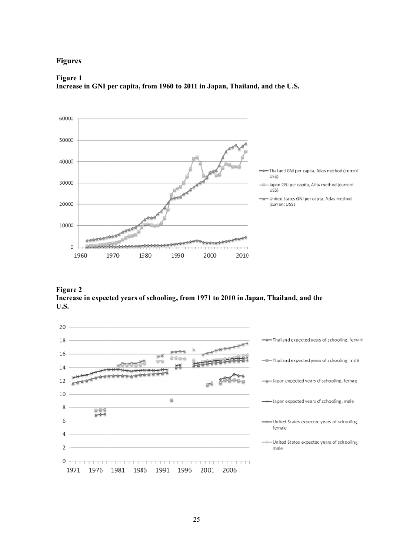### **Figures**

#### **Figure 1**

Increase in GNI per capita, from 1960 to 2011 in Japan, Thailand, and the U.S.



**Figure 2** Increase in expected years of schooling, from 1971 to 2010 in Japan, Thailand, and the **U.S.** 

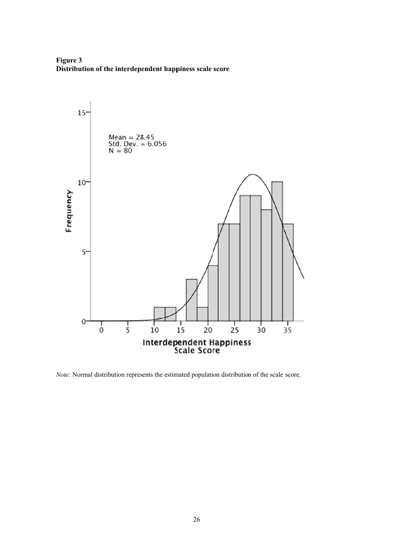**Figure 3** Distribution of the interdependent happiness scale score



Note: Normal distribution represents the estimated population distribution of the scale score.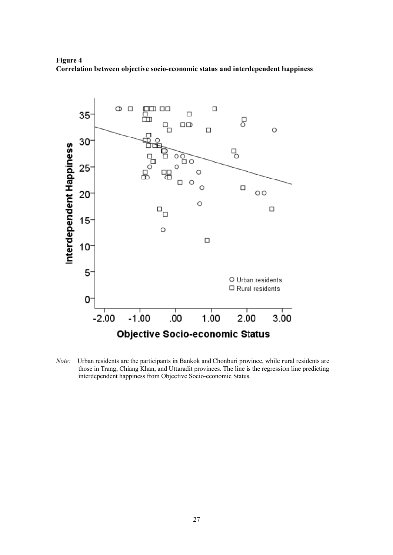**Figure 4** Correlation between objective socio-economic status and interdependent happiness



*Note:* Urban residents are the participants in Bankok and Chonburi province, while rural residents are those in Trang, Chiang Khan, and Uttaradit provinces. The line is the regression line predicting interdependent happiness from Objective Socio-economic Status.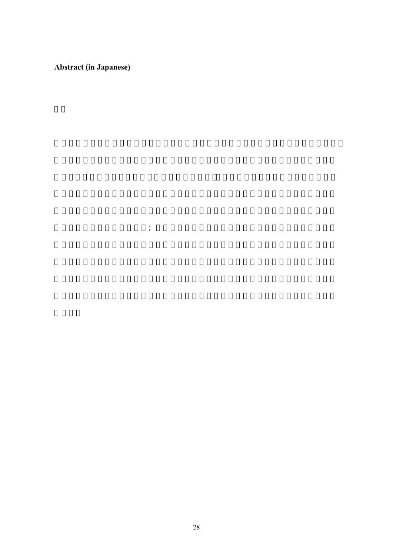**Abstract (in Japanese)** 

会経済的地位を持つ個人(例; より多くの収入、長い教育歴、および管理職地位)が、